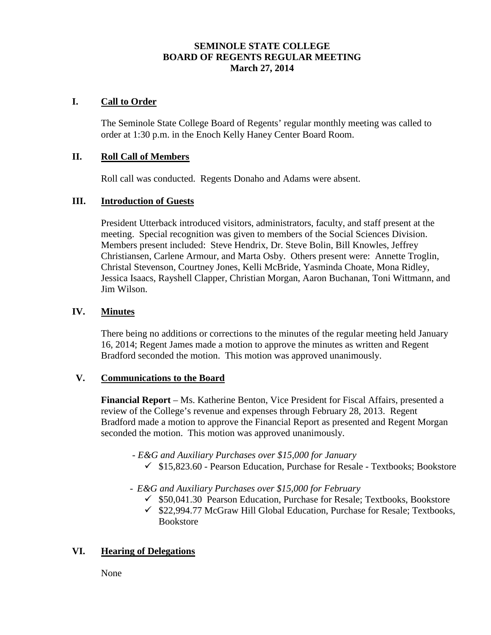# **SEMINOLE STATE COLLEGE BOARD OF REGENTS REGULAR MEETING March 27, 2014**

## **I. Call to Order**

The Seminole State College Board of Regents' regular monthly meeting was called to order at 1:30 p.m. in the Enoch Kelly Haney Center Board Room.

#### **II. Roll Call of Members**

Roll call was conducted. Regents Donaho and Adams were absent.

## **III. Introduction of Guests**

President Utterback introduced visitors, administrators, faculty, and staff present at the meeting. Special recognition was given to members of the Social Sciences Division. Members present included: Steve Hendrix, Dr. Steve Bolin, Bill Knowles, Jeffrey Christiansen, Carlene Armour, and Marta Osby. Others present were: Annette Troglin, Christal Stevenson, Courtney Jones, Kelli McBride, Yasminda Choate, Mona Ridley, Jessica Isaacs, Rayshell Clapper, Christian Morgan, Aaron Buchanan, Toni Wittmann, and Jim Wilson.

## **IV. Minutes**

There being no additions or corrections to the minutes of the regular meeting held January 16, 2014; Regent James made a motion to approve the minutes as written and Regent Bradford seconded the motion. This motion was approved unanimously.

#### **V. Communications to the Board**

**Financial Report** – Ms. Katherine Benton, Vice President for Fiscal Affairs, presented a review of the College's revenue and expenses through February 28, 2013. Regent Bradford made a motion to approve the Financial Report as presented and Regent Morgan seconded the motion. This motion was approved unanimously.

- *- E&G and Auxiliary Purchases over \$15,000 for January*
	- $\checkmark$  \$15,823.60 Pearson Education, Purchase for Resale Textbooks; Bookstore
- *- E&G and Auxiliary Purchases over \$15,000 for February*
	- $\checkmark$  \$50,041.30 Pearson Education, Purchase for Resale; Textbooks, Bookstore
	- $\checkmark$  \$22,994.77 McGraw Hill Global Education, Purchase for Resale; Textbooks, Bookstore

# **VI. Hearing of Delegations**

None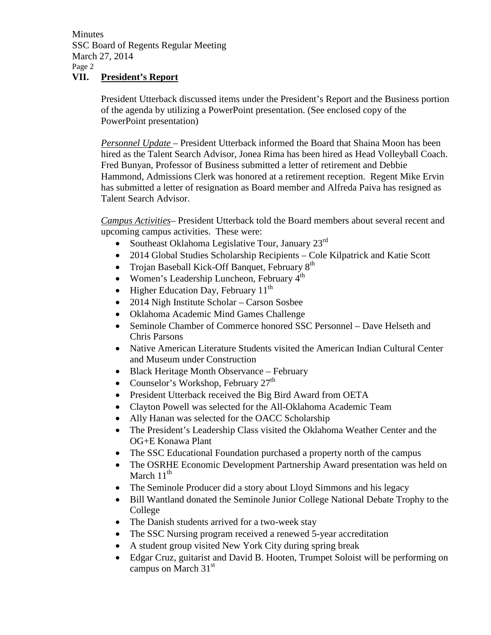**Minutes** SSC Board of Regents Regular Meeting March 27, 2014 Page 2

# **VII. President's Report**

President Utterback discussed items under the President's Report and the Business portion of the agenda by utilizing a PowerPoint presentation. (See enclosed copy of the PowerPoint presentation)

*Personnel Update –* President Utterback informed the Board that Shaina Moon has been hired as the Talent Search Advisor, Jonea Rima has been hired as Head Volleyball Coach. Fred Bunyan, Professor of Business submitted a letter of retirement and Debbie Hammond, Admissions Clerk was honored at a retirement reception. Regent Mike Ervin has submitted a letter of resignation as Board member and Alfreda Paiva has resigned as Talent Search Advisor.

*Campus Activities*– President Utterback told the Board members about several recent and upcoming campus activities. These were:

- Southeast Oklahoma Legislative Tour, January 23<sup>rd</sup>
- 2014 Global Studies Scholarship Recipients Cole Kilpatrick and Katie Scott
- Trojan Baseball Kick-Off Banquet, February  $8<sup>th</sup>$
- Women's Leadership Luncheon, February  $4<sup>th</sup>$
- Higher Education Day, February  $11^{th}$
- 2014 Nigh Institute Scholar Carson Sosbee
- Oklahoma Academic Mind Games Challenge
- Seminole Chamber of Commerce honored SSC Personnel Dave Helseth and Chris Parsons
- Native American Literature Students visited the American Indian Cultural Center and Museum under Construction
- Black Heritage Month Observance February
- Counselor's Workshop, February  $27<sup>th</sup>$
- President Utterback received the Big Bird Award from OETA
- Clayton Powell was selected for the All-Oklahoma Academic Team
- Ally Hanan was selected for the OACC Scholarship
- The President's Leadership Class visited the Oklahoma Weather Center and the OG+E Konawa Plant
- The SSC Educational Foundation purchased a property north of the campus
- The OSRHE Economic Development Partnership Award presentation was held on March  $11<sup>th</sup>$
- The Seminole Producer did a story about Lloyd Simmons and his legacy
- Bill Wantland donated the Seminole Junior College National Debate Trophy to the College
- The Danish students arrived for a two-week stay
- The SSC Nursing program received a renewed 5-year accreditation
- A student group visited New York City during spring break
- Edgar Cruz, guitarist and David B. Hooten, Trumpet Soloist will be performing on campus on March 31<sup>st</sup>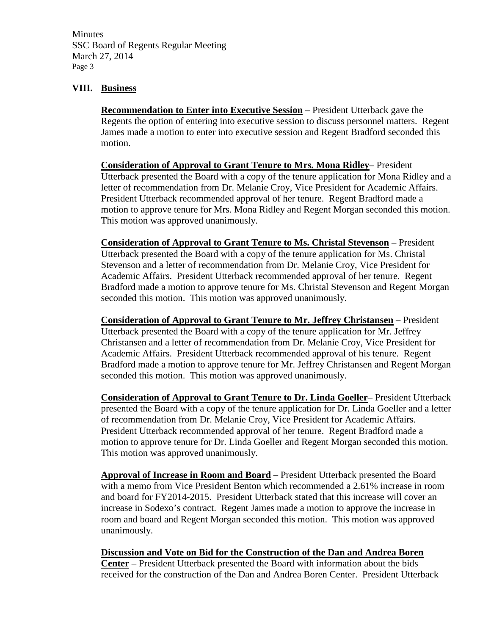**Minutes** SSC Board of Regents Regular Meeting March 27, 2014 Page 3

## **VIII. Business**

**Recommendation to Enter into Executive Session** – President Utterback gave the Regents the option of entering into executive session to discuss personnel matters. Regent James made a motion to enter into executive session and Regent Bradford seconded this motion.

**Consideration of Approval to Grant Tenure to Mrs. Mona Ridley**– President Utterback presented the Board with a copy of the tenure application for Mona Ridley and a letter of recommendation from Dr. Melanie Croy, Vice President for Academic Affairs. President Utterback recommended approval of her tenure. Regent Bradford made a motion to approve tenure for Mrs. Mona Ridley and Regent Morgan seconded this motion. This motion was approved unanimously.

**Consideration of Approval to Grant Tenure to Ms. Christal Stevenson** – President Utterback presented the Board with a copy of the tenure application for Ms. Christal Stevenson and a letter of recommendation from Dr. Melanie Croy, Vice President for Academic Affairs. President Utterback recommended approval of her tenure. Regent Bradford made a motion to approve tenure for Ms. Christal Stevenson and Regent Morgan seconded this motion. This motion was approved unanimously.

**Consideration of Approval to Grant Tenure to Mr. Jeffrey Christansen** – President Utterback presented the Board with a copy of the tenure application for Mr. Jeffrey Christansen and a letter of recommendation from Dr. Melanie Croy, Vice President for Academic Affairs. President Utterback recommended approval of his tenure. Regent Bradford made a motion to approve tenure for Mr. Jeffrey Christansen and Regent Morgan seconded this motion. This motion was approved unanimously.

**Consideration of Approval to Grant Tenure to Dr. Linda Goeller**– President Utterback presented the Board with a copy of the tenure application for Dr. Linda Goeller and a letter of recommendation from Dr. Melanie Croy, Vice President for Academic Affairs. President Utterback recommended approval of her tenure. Regent Bradford made a motion to approve tenure for Dr. Linda Goeller and Regent Morgan seconded this motion. This motion was approved unanimously.

**Approval of Increase in Room and Board** – President Utterback presented the Board with a memo from Vice President Benton which recommended a 2.61% increase in room and board for FY2014-2015. President Utterback stated that this increase will cover an increase in Sodexo's contract. Regent James made a motion to approve the increase in room and board and Regent Morgan seconded this motion. This motion was approved unanimously.

**Discussion and Vote on Bid for the Construction of the Dan and Andrea Boren Center** – President Utterback presented the Board with information about the bids received for the construction of the Dan and Andrea Boren Center. President Utterback